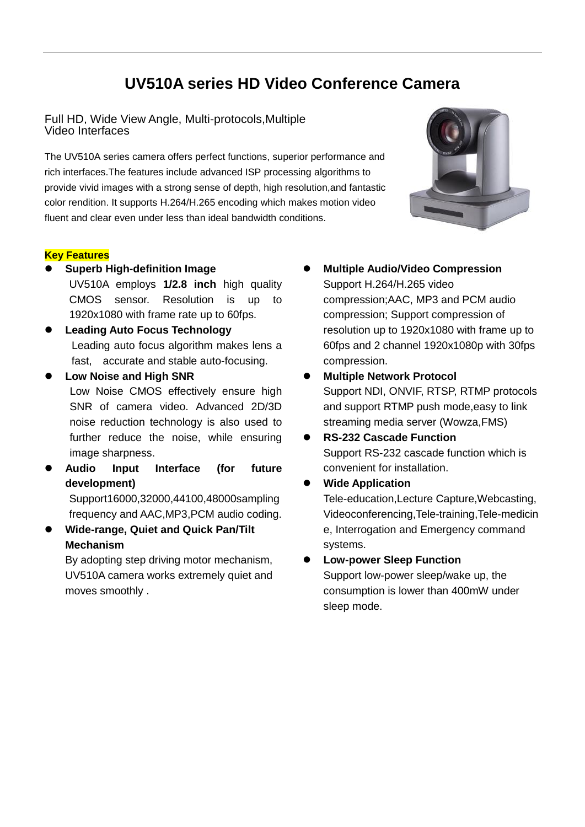# **UV510A series HD Video Conference Camera**

Full HD, Wide View Angle, Multi-protocols,Multiple Video Interfaces

The UV510A series camera offers perfect functions, superior performance and rich interfaces.The features include advanced ISP processing algorithms to provide vivid images with a strong sense of depth, high resolution,and fantastic color rendition. It supports H.264/H.265 encoding which makes motion video fluent and clear even under less than ideal bandwidth conditions.

### **Key Features**

 **Superb High-definition Image**  UV510A employs **1/2.8 inch** high quality

CMOS sensor. Resolution is up to 1920x1080 with frame rate up to 60fps.

- **Leading Auto Focus Technology** Leading auto focus algorithm makes lens a fast, accurate and stable auto-focusing.
	- **Low Noise and High SNR** Low Noise CMOS effectively ensure high SNR of camera video. Advanced 2D/3D noise reduction technology is also used to further reduce the noise, while ensuring image sharpness.
- **Audio Input Interface (for future development)** Support16000,32000,44100,48000sampling frequency and AAC,MP3,PCM audio coding.
- **Wide-range, Quiet and Quick Pan/Tilt Mechanism**

By adopting step driving motor mechanism, UV510A camera works extremely quiet and moves smoothly .

- **Multiple Audio/Video Compression** Support H.264/H.265 video compression;AAC, MP3 and PCM audio compression; Support compression of resolution up to 1920x1080 with frame up to 60fps and 2 channel 1920x1080p with 30fps compression.
- **Multiple Network Protocol** Support NDI, ONVIF, RTSP, RTMP protocols and support RTMP push mode,easy to link streaming media server (Wowza,FMS)
- **RS-232 Cascade Function** Support RS-232 cascade function which is convenient for installation.
	- **Wide Application** Tele-education,Lecture Capture,Webcasting, Videoconferencing,Tele-training,Tele-medicin e, Interrogation and Emergency command systems.

### **Low-power Sleep Function**

Support low-power sleep/wake up, the consumption is lower than 400mW under sleep mode.

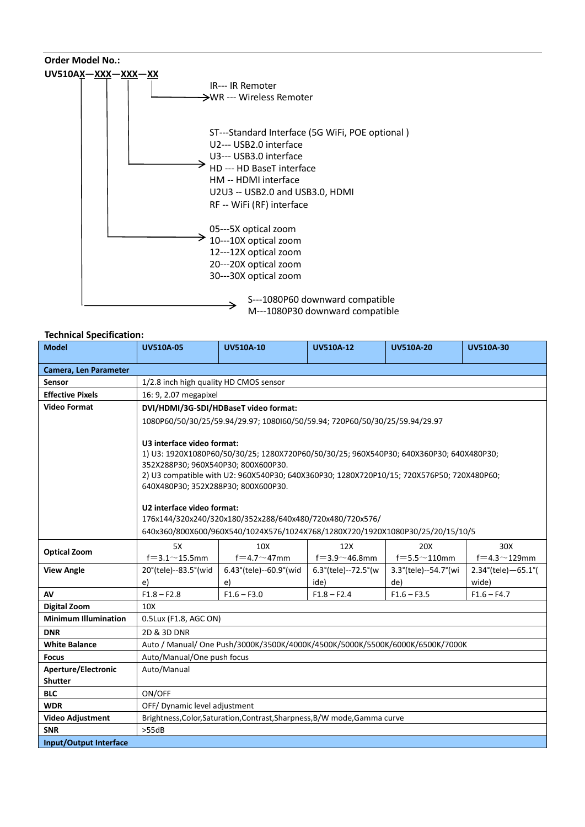

#### **Technical Specification:**

| .comoopco<br><b>Model</b>   | <b>UV510A-05</b>                                                                                                                                                                                                                                                   | <b>UV510A-10</b>                  | <b>UV510A-12</b>                         | <b>UV510A-20</b>               | <b>UV510A-30</b>                      |  |
|-----------------------------|--------------------------------------------------------------------------------------------------------------------------------------------------------------------------------------------------------------------------------------------------------------------|-----------------------------------|------------------------------------------|--------------------------------|---------------------------------------|--|
| Camera, Len Parameter       |                                                                                                                                                                                                                                                                    |                                   |                                          |                                |                                       |  |
| Sensor                      | 1/2.8 inch high quality HD CMOS sensor                                                                                                                                                                                                                             |                                   |                                          |                                |                                       |  |
| <b>Effective Pixels</b>     | 16: 9, 2.07 megapixel                                                                                                                                                                                                                                              |                                   |                                          |                                |                                       |  |
| <b>Video Format</b>         | DVI/HDMI/3G-SDI/HDBaseT video format:                                                                                                                                                                                                                              |                                   |                                          |                                |                                       |  |
|                             | 1080P60/50/30/25/59.94/29.97; 1080I60/50/59.94; 720P60/50/30/25/59.94/29.97                                                                                                                                                                                        |                                   |                                          |                                |                                       |  |
|                             |                                                                                                                                                                                                                                                                    |                                   |                                          |                                |                                       |  |
|                             | U3 interface video format:                                                                                                                                                                                                                                         |                                   |                                          |                                |                                       |  |
|                             | 1) U3: 1920X1080P60/50/30/25; 1280X720P60/50/30/25; 960X540P30; 640X360P30; 640X480P30;<br>352X288P30; 960X540P30; 800X600P30.<br>2) U3 compatible with U2: 960X540P30; 640X360P30; 1280X720P10/15; 720X576P50; 720X480P60;<br>640X480P30; 352X288P30; 800X600P30. |                                   |                                          |                                |                                       |  |
|                             |                                                                                                                                                                                                                                                                    |                                   |                                          |                                |                                       |  |
|                             |                                                                                                                                                                                                                                                                    |                                   |                                          |                                |                                       |  |
|                             |                                                                                                                                                                                                                                                                    |                                   |                                          |                                |                                       |  |
|                             | U2 interface video format:                                                                                                                                                                                                                                         |                                   |                                          |                                |                                       |  |
|                             | 176x144/320x240/320x180/352x288/640x480/720x480/720x576/                                                                                                                                                                                                           |                                   |                                          |                                |                                       |  |
|                             | 640x360/800X600/960X540/1024X576/1024X768/1280X720/1920X1080P30/25/20/15/10/5                                                                                                                                                                                      |                                   |                                          |                                |                                       |  |
| <b>Optical Zoom</b>         | 5X                                                                                                                                                                                                                                                                 | 10 <sub>X</sub>                   | 12X                                      | 20X                            | 30X                                   |  |
|                             | $f = 3.1 \sim 15.5$ mm                                                                                                                                                                                                                                             | $f = 4.7 \sim 47$ mm              | $f = 3.9 - 46.8$ mm                      | $f = 5.5 \sim 110$ mm          | $f = 4.3 \sim 129$ mm                 |  |
| <b>View Angle</b>           | 20°(tele)--83.5°(wid                                                                                                                                                                                                                                               | $6.43^{\circ}$ (tele)--60.9° (wid | $6.3^{\circ}$ (tele)--72.5 $^{\circ}$ (w | $3.3^{\circ}$ (tele)--54.7°(wi | $2.34^{\circ}$ (tele) $-65.1^{\circ}$ |  |
|                             | e)                                                                                                                                                                                                                                                                 | e)                                | ide)                                     | de)                            | wide)                                 |  |
| AV                          | $F1.8 - F2.8$                                                                                                                                                                                                                                                      | $F1.6 - F3.0$                     | $F1.8 - F2.4$                            | $F1.6 - F3.5$                  | $F1.6 - F4.7$                         |  |
| <b>Digital Zoom</b>         | 10 <sub>X</sub>                                                                                                                                                                                                                                                    |                                   |                                          |                                |                                       |  |
| <b>Minimum Illumination</b> | 0.5Lux (F1.8, AGC ON)                                                                                                                                                                                                                                              |                                   |                                          |                                |                                       |  |
| <b>DNR</b>                  | 2D & 3D DNR                                                                                                                                                                                                                                                        |                                   |                                          |                                |                                       |  |
| <b>White Balance</b>        | Auto / Manual/ One Push/3000K/3500K/4000K/4500K/5000K/5500K/6000K/6500K/7000K                                                                                                                                                                                      |                                   |                                          |                                |                                       |  |
| <b>Focus</b>                | Auto/Manual/One push focus                                                                                                                                                                                                                                         |                                   |                                          |                                |                                       |  |
| <b>Aperture/Electronic</b>  | Auto/Manual                                                                                                                                                                                                                                                        |                                   |                                          |                                |                                       |  |
| <b>Shutter</b>              |                                                                                                                                                                                                                                                                    |                                   |                                          |                                |                                       |  |
| <b>BLC</b>                  | ON/OFF                                                                                                                                                                                                                                                             |                                   |                                          |                                |                                       |  |
| <b>WDR</b>                  | OFF/Dynamic level adjustment                                                                                                                                                                                                                                       |                                   |                                          |                                |                                       |  |
| <b>Video Adjustment</b>     | Brightness, Color, Saturation, Contrast, Sharpness, B/W mode, Gamma curve                                                                                                                                                                                          |                                   |                                          |                                |                                       |  |
| <b>SNR</b>                  | >55dB                                                                                                                                                                                                                                                              |                                   |                                          |                                |                                       |  |
| Input/Output Interface      |                                                                                                                                                                                                                                                                    |                                   |                                          |                                |                                       |  |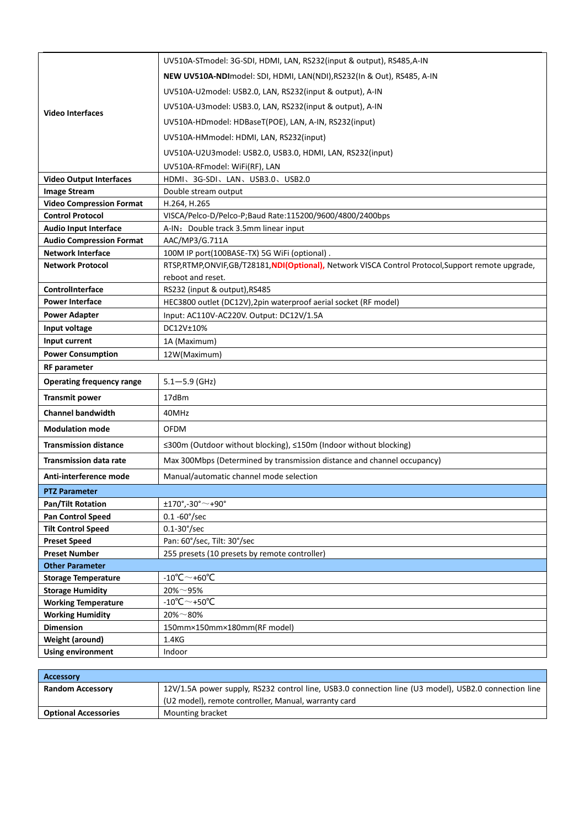| <b>Video Interfaces</b>                               | UV510A-STmodel: 3G-SDI, HDMI, LAN, RS232(input & output), RS485, A-IN                                |  |  |  |
|-------------------------------------------------------|------------------------------------------------------------------------------------------------------|--|--|--|
|                                                       | NEW UV510A-NDImodel: SDI, HDMI, LAN(NDI), RS232(In & Out), RS485, A-IN                               |  |  |  |
|                                                       | UV510A-U2model: USB2.0, LAN, RS232(input & output), A-IN                                             |  |  |  |
|                                                       | UV510A-U3model: USB3.0, LAN, RS232(input & output), A-IN                                             |  |  |  |
|                                                       | UV510A-HDmodel: HDBaseT(POE), LAN, A-IN, RS232(input)                                                |  |  |  |
|                                                       | UV510A-HMmodel: HDMI, LAN, RS232(input)                                                              |  |  |  |
|                                                       | UV510A-U2U3model: USB2.0, USB3.0, HDMI, LAN, RS232(input)                                            |  |  |  |
|                                                       |                                                                                                      |  |  |  |
| <b>Video Output Interfaces</b>                        | UV510A-RFmodel: WiFi(RF), LAN<br>HDMI、3G-SDI、LAN、USB3.0、USB2.0                                       |  |  |  |
| <b>Image Stream</b>                                   | Double stream output                                                                                 |  |  |  |
| <b>Video Compression Format</b>                       | H.264, H.265                                                                                         |  |  |  |
| <b>Control Protocol</b>                               | VISCA/Pelco-D/Pelco-P;Baud Rate:115200/9600/4800/2400bps                                             |  |  |  |
| <b>Audio Input Interface</b>                          | A-IN: Double track 3.5mm linear input                                                                |  |  |  |
| <b>Audio Compression Format</b>                       | AAC/MP3/G.711A                                                                                       |  |  |  |
| <b>Network Interface</b>                              | 100M IP port(100BASE-TX) 5G WiFi (optional).                                                         |  |  |  |
| <b>Network Protocol</b>                               | RTSP, RTMP, ONVIF, GB/T28181, NDI(Optional), Network VISCA Control Protocol, Support remote upgrade, |  |  |  |
|                                                       | reboot and reset.                                                                                    |  |  |  |
| ControlInterface                                      | RS232 (input & output), RS485                                                                        |  |  |  |
| <b>Power Interface</b>                                | HEC3800 outlet (DC12V), 2pin waterproof aerial socket (RF model)                                     |  |  |  |
| <b>Power Adapter</b>                                  | Input: AC110V-AC220V. Output: DC12V/1.5A                                                             |  |  |  |
| Input voltage                                         | DC12V±10%                                                                                            |  |  |  |
| Input current                                         | 1A (Maximum)                                                                                         |  |  |  |
| <b>Power Consumption</b><br>12W(Maximum)              |                                                                                                      |  |  |  |
| <b>RF</b> parameter                                   |                                                                                                      |  |  |  |
| <b>Operating frequency range</b>                      | $5.1 - 5.9$ (GHz)                                                                                    |  |  |  |
| <b>Transmit power</b>                                 | 17dBm                                                                                                |  |  |  |
| <b>Channel bandwidth</b>                              | 40MHz                                                                                                |  |  |  |
| <b>Modulation mode</b>                                | <b>OFDM</b>                                                                                          |  |  |  |
| <b>Transmission distance</b>                          | ≤300m (Outdoor without blocking), ≤150m (Indoor without blocking)                                    |  |  |  |
| <b>Transmission data rate</b>                         | Max 300Mbps (Determined by transmission distance and channel occupancy)                              |  |  |  |
| Anti-interference mode                                | Manual/automatic channel mode selection                                                              |  |  |  |
| <b>PTZ Parameter</b>                                  |                                                                                                      |  |  |  |
| <b>Pan/Tilt Rotation</b>                              | $±170^{\circ}$ ,-30 $^{\circ}$ $\sim$ +90 $^{\circ}$                                                 |  |  |  |
| <b>Pan Control Speed</b>                              | $0.1 - 60^{\circ}/sec$                                                                               |  |  |  |
| <b>Tilt Control Speed</b>                             | $0.1 - 30^{\circ}/sec$                                                                               |  |  |  |
| <b>Preset Speed</b>                                   | Pan: 60°/sec, Tilt: 30°/sec                                                                          |  |  |  |
| <b>Preset Number</b>                                  | 255 presets (10 presets by remote controller)                                                        |  |  |  |
| <b>Other Parameter</b>                                | -10°C $\sim$ +60°C                                                                                   |  |  |  |
| <b>Storage Temperature</b><br><b>Storage Humidity</b> | $20\% \sim 95\%$                                                                                     |  |  |  |
| <b>Working Temperature</b>                            | -10°C $\sim$ +50°C                                                                                   |  |  |  |
| <b>Working Humidity</b>                               | $20\% \sim 80\%$                                                                                     |  |  |  |
| <b>Dimension</b>                                      | 150mm×150mm×180mm(RF model)                                                                          |  |  |  |
| Weight (around)                                       | 1.4KG                                                                                                |  |  |  |
| <b>Using environment</b>                              | Indoor                                                                                               |  |  |  |
|                                                       |                                                                                                      |  |  |  |

| <b>Accessory</b>            |                                                                                                      |
|-----------------------------|------------------------------------------------------------------------------------------------------|
| <b>Random Accessory</b>     | 12V/1.5A power supply, RS232 control line, USB3.0 connection line (U3 model), USB2.0 connection line |
|                             | (U2 model), remote controller, Manual, warranty card                                                 |
| <b>Optional Accessories</b> | Mounting bracket                                                                                     |